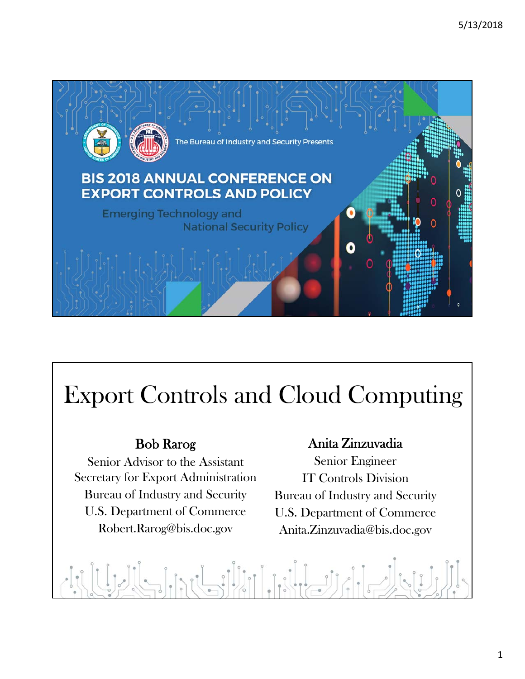

# Export Controls and Cloud Computing

#### Bob Rarog

Senior Advisor to the Assistant Secretary for Export Administration Bureau of Industry and Security U.S. Department of Commerce Robert.Rarog@bis.doc.gov

#### Anita Zinzuvadia

Senior Engineer IT Controls Division Bureau of Industry and Security U.S. Department of Commerce Anita.Zinzuvadia@bis.doc.gov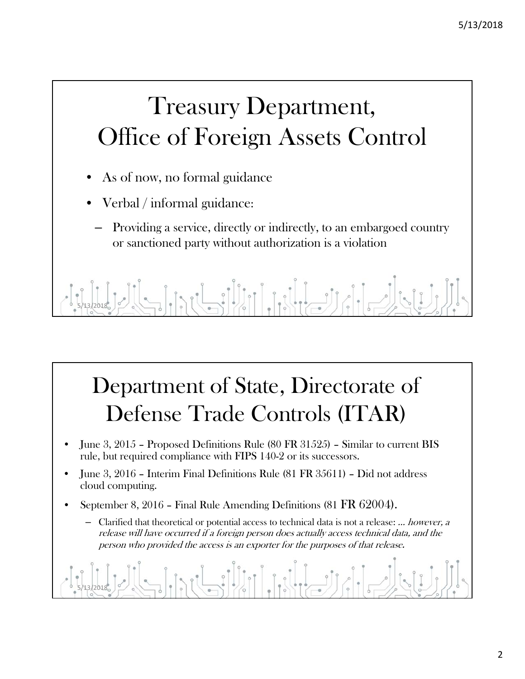# Treasury Department, Office of Foreign Assets Control

- As of now, no formal guidance
- Verbal / informal guidance:
	- Providing a service, directly or indirectly, to an embargoed country or sanctioned party without authorization is a violation

5/13/2018

#### Department of State, Directorate of Defense Trade Controls (ITAR)

- June 3, 2015 Proposed Definitions Rule (80 FR 31525) Similar to current BIS rule, but required compliance with FIPS 140-2 or its successors.
- June 3, 2016 Interim Final Definitions Rule (81 FR 35611) Did not address cloud computing.
- September 8, 2016 Final Rule Amending Definitions (81 FR 62004).
	- Clarified that theoretical or potential access to technical data is not a release: … however, a release will have occurred if a foreign person does actually access technical data, and the person who provided the access is an exporter for the purposes of that release.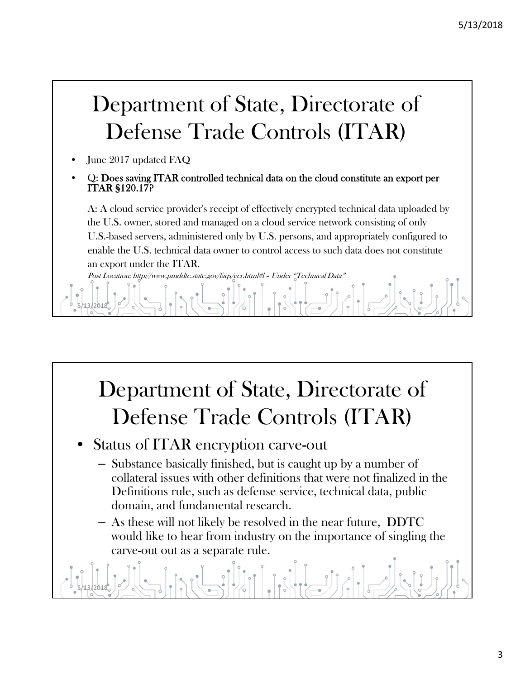#### Department of State, Directorate of Defense Trade Controls (ITAR)

June 2017 updated FAQ

5/13/2018

• Q: Does saving ITAR controlled technical data on the cloud constitute an export per ITAR §120.17?

A: A cloud service provider's receipt of effectively encrypted technical data uploaded by the U.S. owner, stored and managed on a cloud service network consisting of only U.S.-based servers, administered only by U.S. persons, and appropriately configured to enable the U.S. technical data owner to control access to such data does not constitute an export under the ITAR.

Post Location: http://www.pmddtc.state.gov/faqs/ecr.html#l – Under "Technical Data"



– As these will not likely be resolved in the near future, DDTC would like to hear from industry on the importance of singling the carve-out out as a separate rule.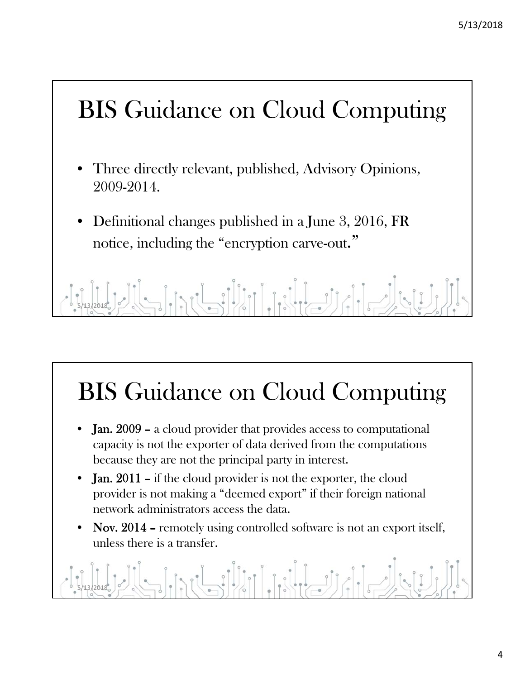

- Three directly relevant, published, Advisory Opinions, 2009-2014.
- Definitional changes published in a June 3, 2016, FR notice, including the "encryption carve-out."

5/13/2018

# BIS Guidance on Cloud Computing

- Jan. 2009 a cloud provider that provides access to computational capacity is not the exporter of data derived from the computations because they are not the principal party in interest.
- Jan. 2011 if the cloud provider is not the exporter, the cloud provider is not making a "deemed export" if their foreign national network administrators access the data.
- Nov. 2014 remotely using controlled software is not an export itself, unless there is a transfer.

#### $\frac{1}{2}$ 5/13/2018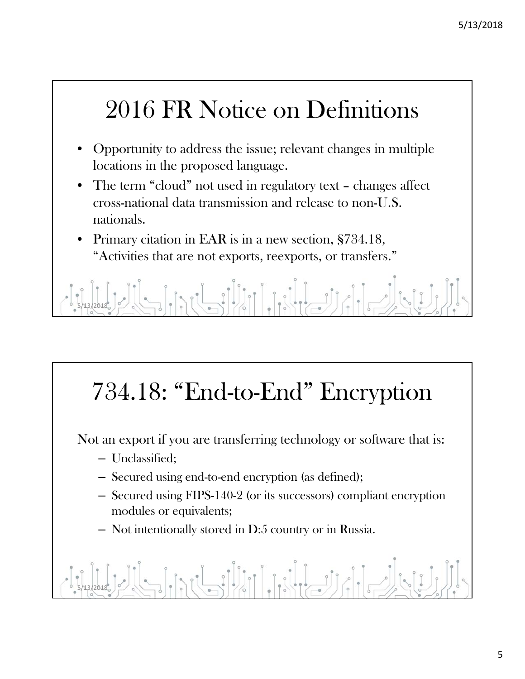#### 2016 FR Notice on Definitions

- Opportunity to address the issue; relevant changes in multiple locations in the proposed language.
- The term "cloud" not used in regulatory text changes affect cross-national data transmission and release to non-U.S. nationals.
- Primary citation in EAR is in a new section, §734.18, "Activities that are not exports, reexports, or transfers."

5/13/2018

# 734.18: "End-to-End" Encryption

Not an export if you are transferring technology or software that is:

- Unclassified;
- Secured using end-to-end encryption (as defined);
- Secured using FIPS-140-2 (or its successors) compliant encryption modules or equivalents;
- Not intentionally stored in D:5 country or in Russia.

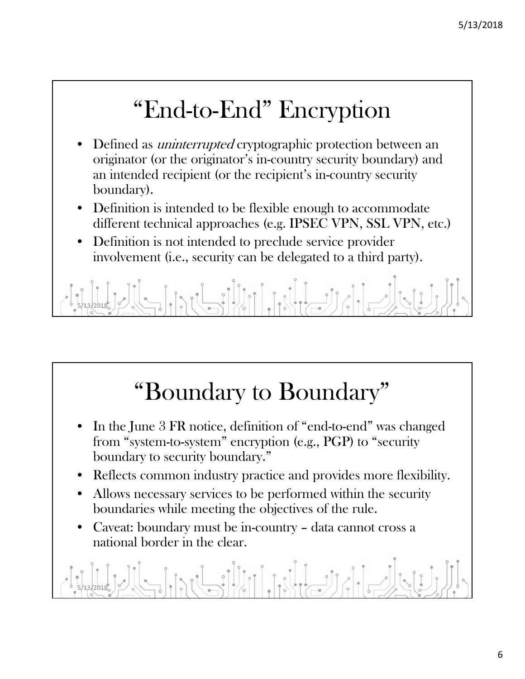### "End-to-End" Encryption

- Defined as *uninterrupted* cryptographic protection between an originator (or the originator's in-country security boundary) and an intended recipient (or the recipient's in-country security boundary).
- Definition is intended to be flexible enough to accommodate different technical approaches (e.g. IPSEC VPN, SSL VPN, etc.)
- Definition is not intended to preclude service provider involvement (i.e., security can be delegated to a third party).



## "Boundary to Boundary"

- In the June 3 FR notice, definition of "end-to-end" was changed from "system-to-system" encryption (e.g., PGP) to "security boundary to security boundary."
- Reflects common industry practice and provides more flexibility.
- Allows necessary services to be performed within the security boundaries while meeting the objectives of the rule.
- Caveat: boundary must be in-country data cannot cross a national border in the clear.

5/13/2018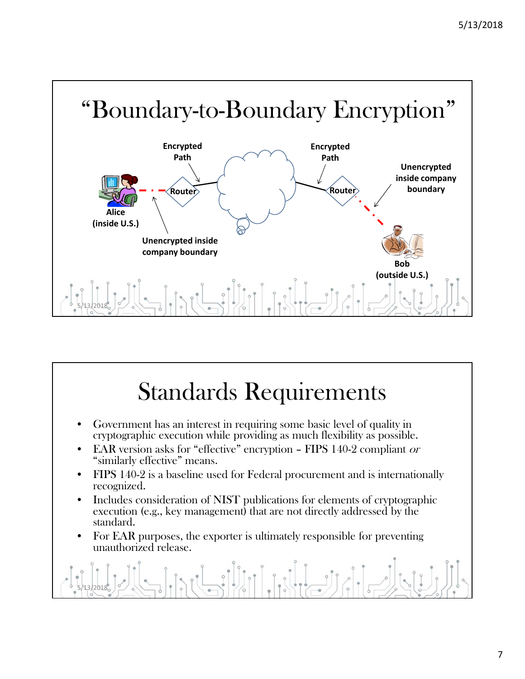



5/13/2018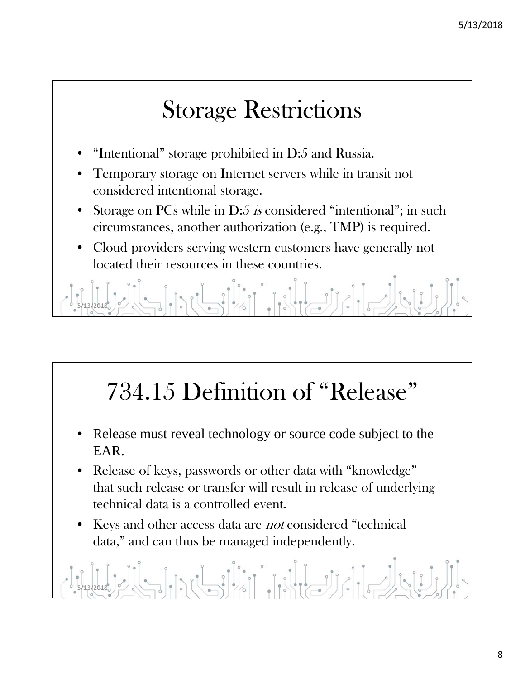#### Storage Restrictions

- "Intentional" storage prohibited in D:5 and Russia.
- Temporary storage on Internet servers while in transit not considered intentional storage.
- Storage on PCs while in D:5 is considered "intentional"; in such circumstances, another authorization (e.g., TMP) is required.
- Cloud providers serving western customers have generally not located their resources in these countries.

 $\int$  of  $\parallel$ 5/13/2018

# 734.15 Definition of "Release"

- Release must reveal technology or source code subject to the EAR.
- Release of keys, passwords or other data with "knowledge" that such release or transfer will result in release of underlying technical data is a controlled event.
- Keys and other access data are *not* considered "technical data," and can thus be managed independently.

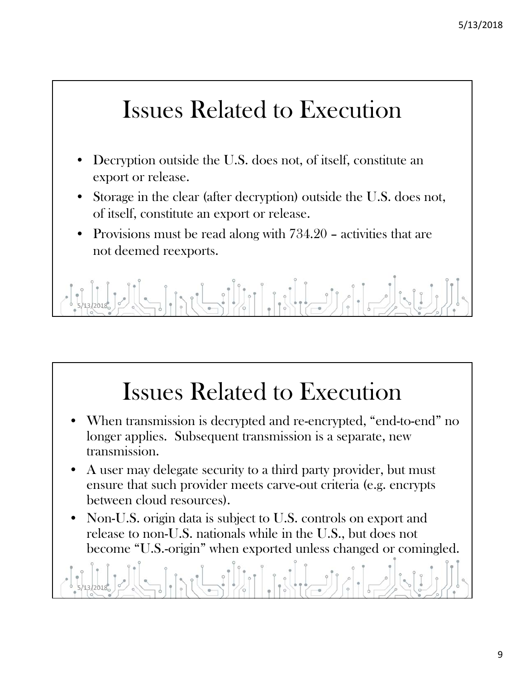#### Issues Related to Execution

- Decryption outside the U.S. does not, of itself, constitute an export or release.
- Storage in the clear (after decryption) outside the U.S. does not, of itself, constitute an export or release.
- Provisions must be read along with 734.20 activities that are not deemed reexports.

5/13/2018

## Issues Related to Execution

- When transmission is decrypted and re-encrypted, "end-to-end" no longer applies. Subsequent transmission is a separate, new transmission.
- A user may delegate security to a third party provider, but must ensure that such provider meets carve-out criteria (e.g. encrypts between cloud resources).
- Non-U.S. origin data is subject to U.S. controls on export and release to non-U.S. nationals while in the U.S., but does not become "U.S.-origin" when exported unless changed or comingled.